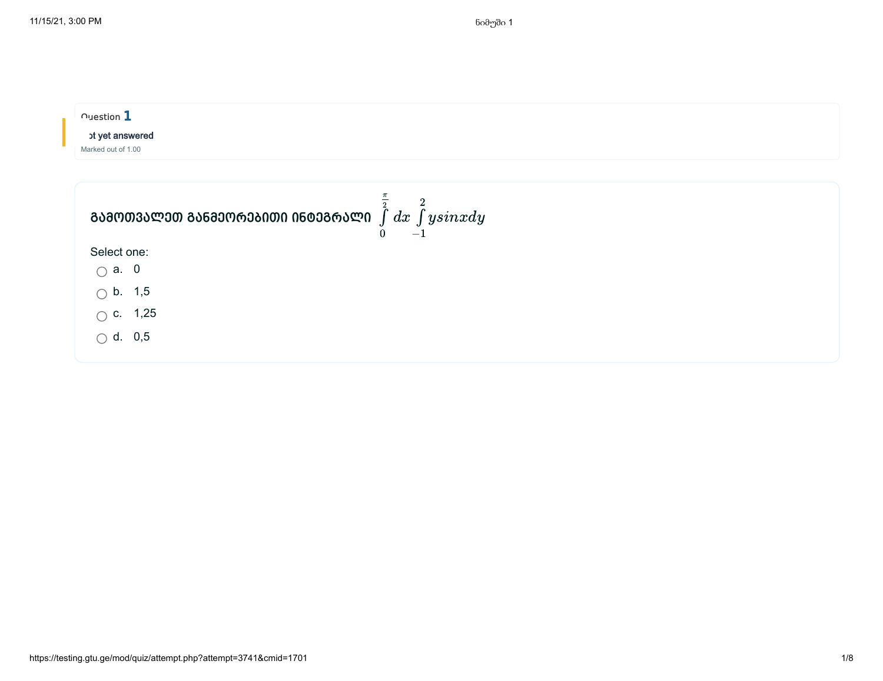| $\cap$ uestion $\mathbf 1$<br>ot yet answered<br>Marked out of 1.00                          |                |
|----------------------------------------------------------------------------------------------|----------------|
| ᲒᲐᲛᲝᲗᲕᲐᲚᲔᲗ ᲒᲐᲜᲛᲔᲝᲠᲔᲑᲘᲗᲘ ᲘᲜᲢᲔᲒᲠᲐᲚᲘ $\int\limits_\alpha^z dx \, \int\limits_\alpha^z y sinxdy$ | $\overline{2}$ |
| Select one:                                                                                  |                |
| $\bigcirc$ a. 0                                                                              |                |
| $\circlearrowright$ b. 1,5                                                                   |                |
| $\circ$ c. 1,25                                                                              |                |
| $\bigcirc$ d. 0,5                                                                            |                |
|                                                                                              |                |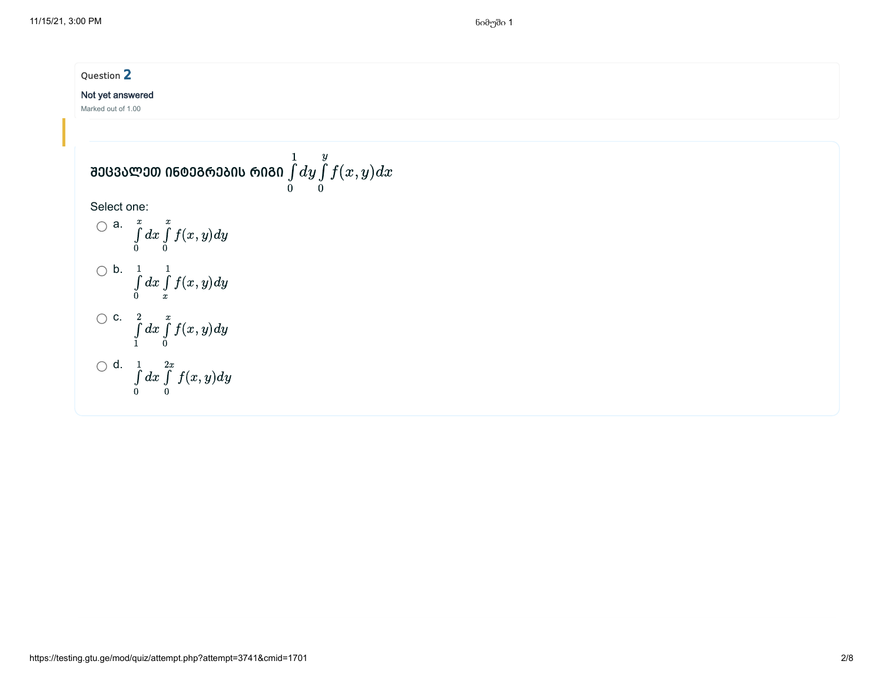Question 2

## Not yet answered

Marked out of 1.00

**30030 000 000 000 000 0 0** 
$$
\int_{0}^{1} dy \int_{0}^{y} f(x, y) dx
$$
\nSelect one:

\nQ a. 
$$
\int_{0}^{x} dx \int_{0}^{x} f(x, y) dy
$$

\nQ b. 
$$
\int_{0}^{1} dx \int_{x}^{1} f(x, y) dy
$$

\nQ c. 
$$
\int_{1}^{2} dx \int_{0}^{x} f(x, y) dy
$$

\nQ d. 
$$
\int_{0}^{1} dx \int_{0}^{2x} f(x, y) dy
$$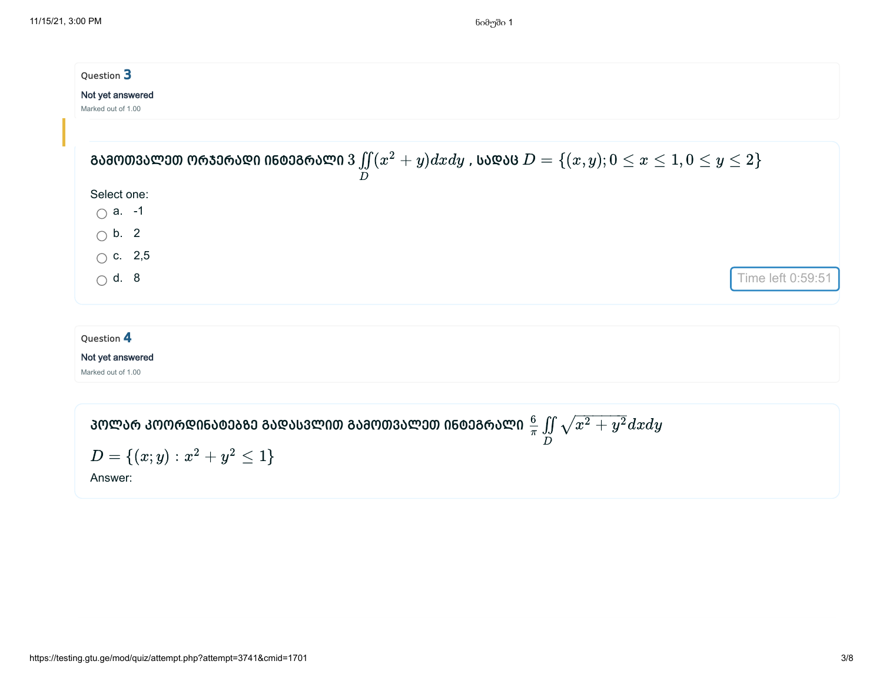| Question 3         |                                                                                                                              |  |  |  |
|--------------------|------------------------------------------------------------------------------------------------------------------------------|--|--|--|
| Not yet answered   |                                                                                                                              |  |  |  |
| Marked out of 1.00 |                                                                                                                              |  |  |  |
|                    |                                                                                                                              |  |  |  |
|                    | ᲒᲐᲛᲝᲗᲕᲐᲚᲔᲗ ᲝᲠᲯᲔᲠᲐᲓᲘ ᲘᲜᲢᲔᲒᲠᲐᲚᲘ $3 \iint\limits_{D} (x^2 + y) dx dy$ , ᲡᲐᲓᲐᲪ $D = \{(x,y); 0 \leq x \leq 1, 0 \leq y \leq 2\}$ |  |  |  |
| Select one:        |                                                                                                                              |  |  |  |
| $\bigcirc$ a. -1   |                                                                                                                              |  |  |  |
| $\bigcirc$ b. 2    |                                                                                                                              |  |  |  |
| $\bigcirc$ c. 2,5  |                                                                                                                              |  |  |  |
| $\bigcap$ d. 8     | Time left 0:59:51                                                                                                            |  |  |  |
|                    |                                                                                                                              |  |  |  |
| Question 4         |                                                                                                                              |  |  |  |
| Not yet answered   |                                                                                                                              |  |  |  |
| Marked out of 1.00 |                                                                                                                              |  |  |  |

ᲞᲝᲚᲐᲠ ᲙᲝᲝᲠᲓᲘᲜᲐᲢᲔᲑᲖᲔ ᲒᲐᲓᲐᲡᲕᲚᲘᲗ ᲒᲐᲛᲝᲗᲕᲐᲚᲔᲗ ᲘᲜᲢᲔᲒᲠᲐᲚᲘ  $\frac{6}{\pi} \iint\sqrt{x^2+y^2} dx dy$  $\boldsymbol{D}_{\parallel}$  $\sqrt{x^2+y^2}$  $\sqrt{2^2 + a^2}$ 

$$
D = \{(x;y): x^2 + y^2 \le 1\}
$$

Answer: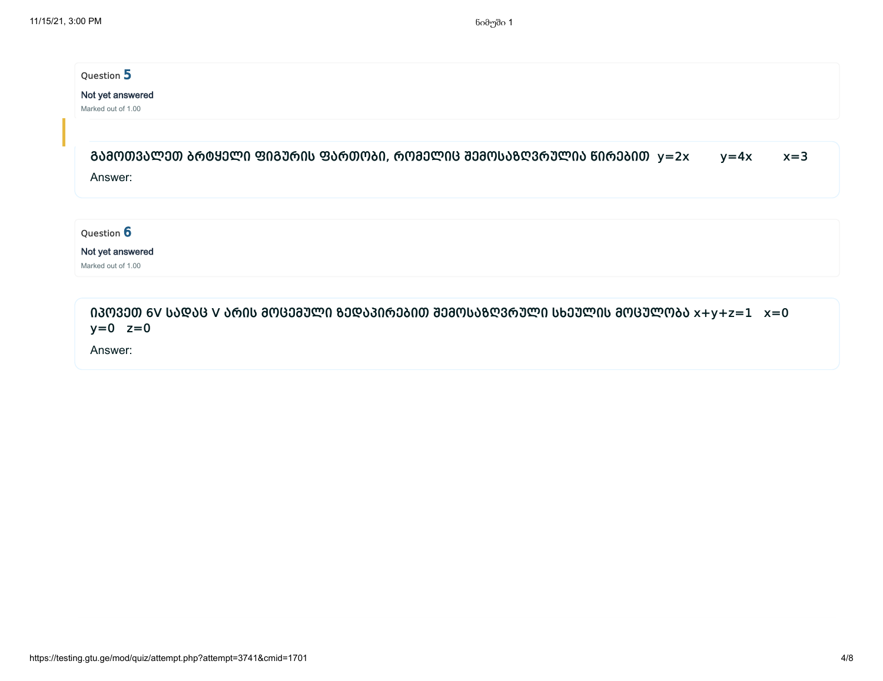## Question 5

#### Not yet answered

Marked out of 1.00

| ᲒᲐᲛᲝᲗᲕᲐᲚᲔᲗ ᲑᲠᲢᲧᲔᲚᲘ ᲤᲘᲒᲣᲠᲘᲡ ᲤᲐᲠᲗᲝᲑᲘ, ᲠᲝᲛᲔᲚᲘᲪ ᲨᲔᲛᲝᲡᲐᲖᲦᲕᲠᲣᲚᲘᲐ ᲬᲘᲠᲔᲑᲘᲗ  y=2x | $v = 4x$ | $x=3$ |
|--------------------------------------------------------------------------|----------|-------|
| Answer:                                                                  |          |       |

Question 6

Not yet answered

Marked out of 1.00

იპოვეთ 6V სადაც V არის მოცემული ზედაპირებით შემოსაზღვრული სხეულის მოცულობა x+y+z=1 x=0  $y=0$   $z=0$ 

Answer: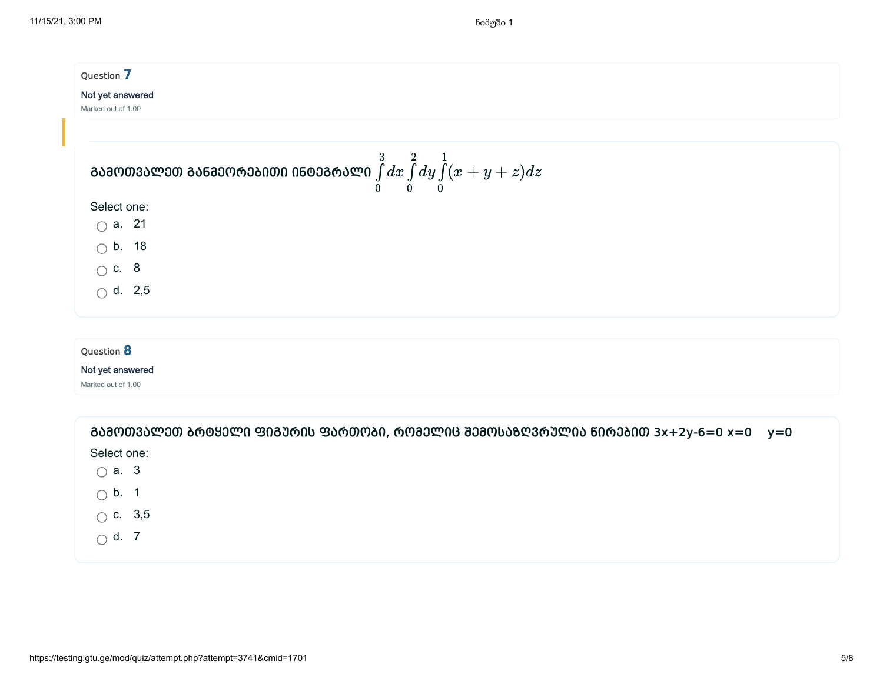| Question 7                     |                                                                                                      |  |  |  |  |
|--------------------------------|------------------------------------------------------------------------------------------------------|--|--|--|--|
| Not yet answered               |                                                                                                      |  |  |  |  |
| Marked out of 1.00             |                                                                                                      |  |  |  |  |
|                                |                                                                                                      |  |  |  |  |
|                                | ᲒᲐᲛᲝᲗᲕᲐᲚᲔᲗ ᲒᲐᲜᲛᲔᲝᲠᲔᲑᲘᲗᲘ ᲘᲜᲢᲔᲒᲠᲐᲚᲘ $\int\limits_0^3 dx \int\limits_0^2 dy \int\limits_0^1 (x+y+z) dz$ |  |  |  |  |
| Select one:                    |                                                                                                      |  |  |  |  |
| $\bigcirc$ a. 21               |                                                                                                      |  |  |  |  |
| $\bigcirc$ b. 18               |                                                                                                      |  |  |  |  |
|                                |                                                                                                      |  |  |  |  |
| $\circ$ c. 8<br>$\circ$ d. 2,5 |                                                                                                      |  |  |  |  |
|                                |                                                                                                      |  |  |  |  |

# Question 8

### Not yet answered

Marked out of 1.00

| ᲒᲐᲛᲝᲗᲕᲐᲚᲔᲗ ᲑᲠᲢᲧᲔᲚᲘ ᲤᲘᲒᲣᲠᲘᲡ ᲤᲐᲠᲗᲝᲑᲘ, ᲠᲝᲛᲔᲚᲘᲪ ᲨᲔᲛᲝᲡᲐᲖᲦᲕᲠᲣᲚᲘᲐ ᲬᲘᲠᲔᲑᲘᲗ 3x+2y-6=0 x=0 y=0 |  |
|--------------------------------------------------------------------------------------|--|
| Select one:                                                                          |  |
| $\bigcirc$ a. 3                                                                      |  |
| $\bigcirc$ b. 1                                                                      |  |
| $\bigcirc$ c. 3,5                                                                    |  |
| $\bigcirc$ d. 7                                                                      |  |
|                                                                                      |  |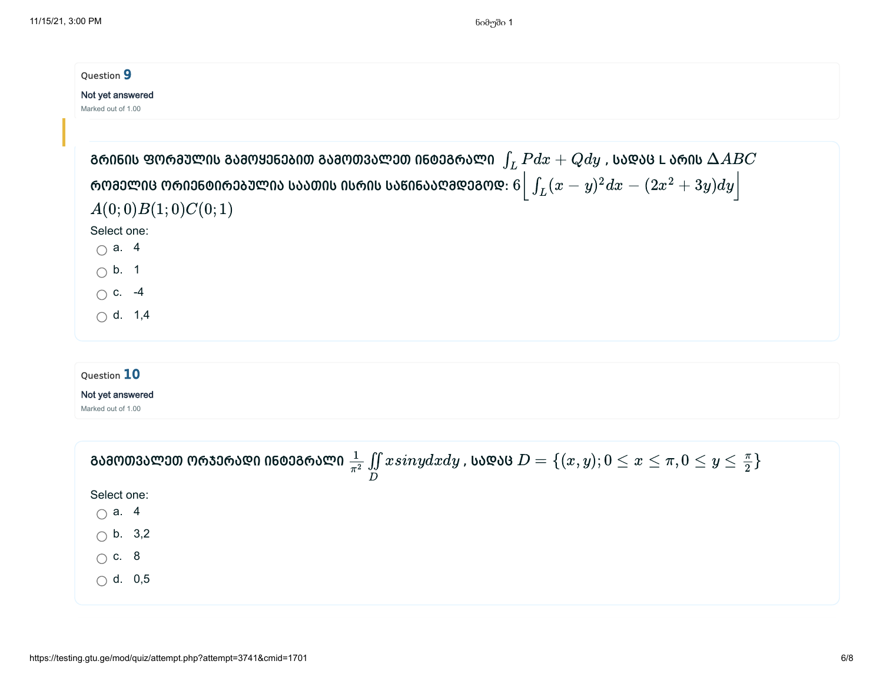| Question 9                                                                                     |                                                                                                                                             |  |  |  |  |
|------------------------------------------------------------------------------------------------|---------------------------------------------------------------------------------------------------------------------------------------------|--|--|--|--|
| Not yet answered<br>Marked out of 1.00                                                         |                                                                                                                                             |  |  |  |  |
|                                                                                                |                                                                                                                                             |  |  |  |  |
|                                                                                                | ᲒᲠᲘᲜᲘᲡ ᲤᲝᲠᲛᲣᲚᲘᲡ ᲒᲐᲛᲝᲧᲔᲜᲔᲑᲘᲗ ᲒᲐᲛᲝᲗᲕᲐᲚᲔᲗ ᲘᲜᲢᲔᲒᲠᲐᲚᲘ $\,\int_L P dx + Q dy\,$ , ᲡᲐᲓᲐᲪ L ᲐᲠᲘᲡ $\Delta ABC$                                       |  |  |  |  |
| ᲠᲝᲛᲔᲚᲘᲪ ᲝᲠᲘᲔᲜᲢᲘᲠᲔᲑᲣᲚᲘᲐ ᲡᲐᲐᲗᲘᲡ ᲘᲡᲠᲘᲡ ᲡᲐᲬᲘᲜᲐᲐᲦᲛᲓᲔᲒᲝᲓ: $6\Big \int_L (x-y)^2 dx-(2x^2+3y)dy\Big $ |                                                                                                                                             |  |  |  |  |
| A(0;0)B(1;0)C(0;1)                                                                             |                                                                                                                                             |  |  |  |  |
| Select one:                                                                                    |                                                                                                                                             |  |  |  |  |
| $\bigcirc$ a. 4                                                                                |                                                                                                                                             |  |  |  |  |
| $\bigcirc$ b. 1                                                                                |                                                                                                                                             |  |  |  |  |
| $\bigcirc$ c. -4                                                                               |                                                                                                                                             |  |  |  |  |
| $\bigcirc$ d. 1,4                                                                              |                                                                                                                                             |  |  |  |  |
| Question 10                                                                                    |                                                                                                                                             |  |  |  |  |
| Not yet answered                                                                               |                                                                                                                                             |  |  |  |  |
| Marked out of 1.00                                                                             |                                                                                                                                             |  |  |  |  |
|                                                                                                | ᲒᲐᲛᲝᲗᲕᲐᲚᲔᲗ ᲝᲠᲯᲔᲠᲐᲓᲘ ᲘᲜᲢᲔᲒᲠᲐᲚᲘ $\frac{1}{\pi^2}\iint\limits_{D}x sinydxdy$ , ᲡᲐᲓᲐᲪ $D=\{(x,y); 0\leq x\leq \pi, 0\leq y\leq \frac{\pi}{2}\}$ |  |  |  |  |
| Select one:                                                                                    |                                                                                                                                             |  |  |  |  |
| $\bigcirc$ a. 4                                                                                |                                                                                                                                             |  |  |  |  |
| $\bigcirc$ b. 3,2                                                                              |                                                                                                                                             |  |  |  |  |

 $\bigcirc$  c. 8

 $\bigcirc$  d. 0,5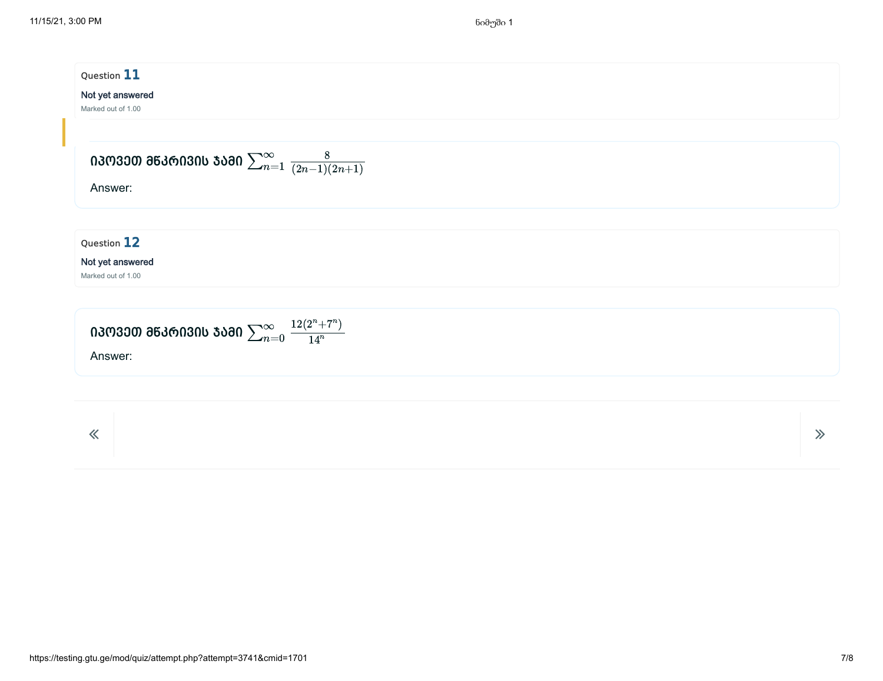| Question 11                                                            |       |
|------------------------------------------------------------------------|-------|
| Not yet answered<br>Marked out of 1.00                                 |       |
|                                                                        |       |
| ᲘᲞᲝᲕᲔᲗ ᲛᲬᲙᲠᲘᲕᲘᲡ ᲯᲐᲛᲘ $\sum_{n=1}^{\infty} \frac{8}{(2n-1)(2n+1)}$      |       |
| Answer:                                                                |       |
|                                                                        |       |
| Question 12                                                            |       |
| Not yet answered<br>Marked out of 1.00                                 |       |
|                                                                        |       |
| ᲘᲞᲝᲕᲔᲗ ᲛᲬᲙᲠᲘᲕᲘᲡ ᲯᲐᲛᲘ $\sum_{n=0}^{\infty} \frac{12 (2^n + 7^n)}{14^n}$ |       |
| Answer:                                                                |       |
|                                                                        |       |
|                                                                        |       |
| $\ll$                                                                  | $\gg$ |